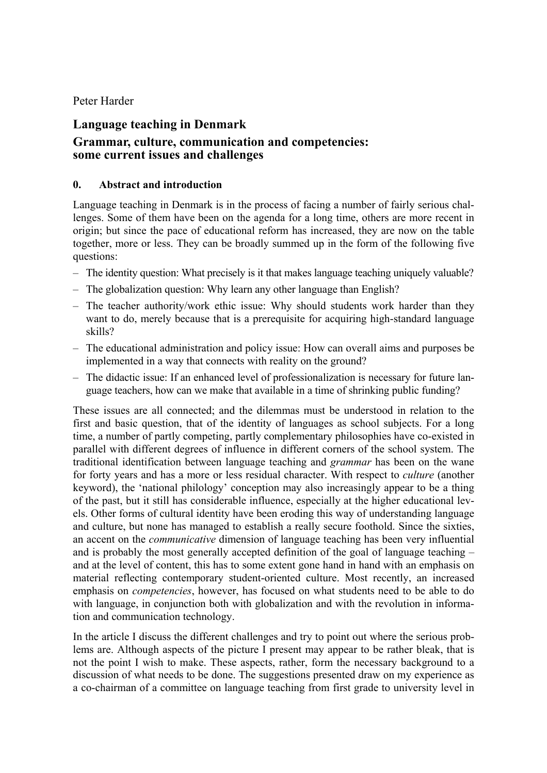## Peter Harder

# **Language teaching in Denmark**

# **Grammar, culture, communication and competencies: some current issues and challenges**

#### **0. Abstract and introduction**

Language teaching in Denmark is in the process of facing a number of fairly serious challenges. Some of them have been on the agenda for a long time, others are more recent in origin; but since the pace of educational reform has increased, they are now on the table together, more or less. They can be broadly summed up in the form of the following five questions:

- The identity question: What precisely is it that makes language teaching uniquely valuable?
- The globalization question: Why learn any other language than English?
- The teacher authority/work ethic issue: Why should students work harder than they want to do, merely because that is a prerequisite for acquiring high-standard language skills?
- The educational administration and policy issue: How can overall aims and purposes be implemented in a way that connects with reality on the ground?
- The didactic issue: If an enhanced level of professionalization is necessary for future language teachers, how can we make that available in a time of shrinking public funding?

These issues are all connected; and the dilemmas must be understood in relation to the first and basic question, that of the identity of languages as school subjects. For a long time, a number of partly competing, partly complementary philosophies have co-existed in parallel with different degrees of influence in different corners of the school system. The traditional identification between language teaching and *grammar* has been on the wane for forty years and has a more or less residual character. With respect to *culture* (another keyword), the 'national philology' conception may also increasingly appear to be a thing of the past, but it still has considerable influence, especially at the higher educational levels. Other forms of cultural identity have been eroding this way of understanding language and culture, but none has managed to establish a really secure foothold. Since the sixties, an accent on the *communicative* dimension of language teaching has been very influential and is probably the most generally accepted definition of the goal of language teaching – and at the level of content, this has to some extent gone hand in hand with an emphasis on material reflecting contemporary student-oriented culture. Most recently, an increased emphasis on *competencies*, however, has focused on what students need to be able to do with language, in conjunction both with globalization and with the revolution in information and communication technology.

In the article I discuss the different challenges and try to point out where the serious problems are. Although aspects of the picture I present may appear to be rather bleak, that is not the point I wish to make. These aspects, rather, form the necessary background to a discussion of what needs to be done. The suggestions presented draw on my experience as a co-chairman of a committee on language teaching from first grade to university level in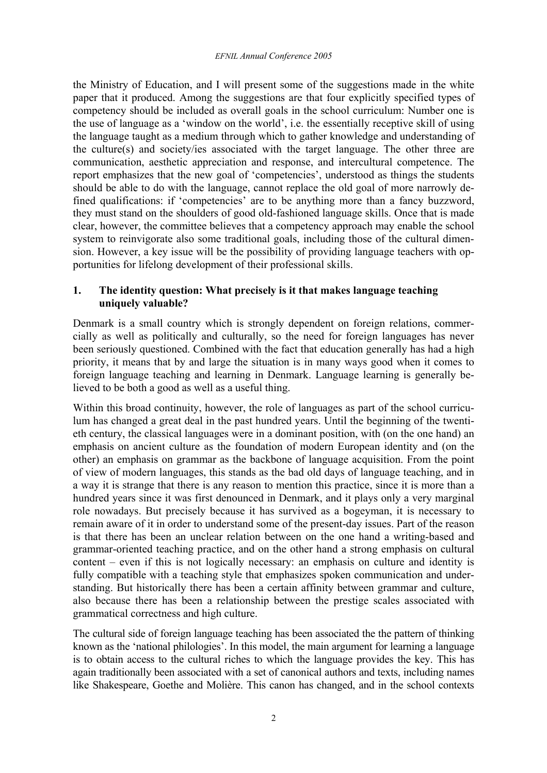the Ministry of Education, and I will present some of the suggestions made in the white paper that it produced. Among the suggestions are that four explicitly specified types of competency should be included as overall goals in the school curriculum: Number one is the use of language as a 'window on the world', i.e. the essentially receptive skill of using the language taught as a medium through which to gather knowledge and understanding of the culture(s) and society/ies associated with the target language. The other three are communication, aesthetic appreciation and response, and intercultural competence. The report emphasizes that the new goal of 'competencies', understood as things the students should be able to do with the language, cannot replace the old goal of more narrowly defined qualifications: if 'competencies' are to be anything more than a fancy buzzword, they must stand on the shoulders of good old-fashioned language skills. Once that is made clear, however, the committee believes that a competency approach may enable the school system to reinvigorate also some traditional goals, including those of the cultural dimension. However, a key issue will be the possibility of providing language teachers with opportunities for lifelong development of their professional skills.

# **1. The identity question: What precisely is it that makes language teaching uniquely valuable?**

Denmark is a small country which is strongly dependent on foreign relations, commercially as well as politically and culturally, so the need for foreign languages has never been seriously questioned. Combined with the fact that education generally has had a high priority, it means that by and large the situation is in many ways good when it comes to foreign language teaching and learning in Denmark. Language learning is generally believed to be both a good as well as a useful thing.

Within this broad continuity, however, the role of languages as part of the school curriculum has changed a great deal in the past hundred years. Until the beginning of the twentieth century, the classical languages were in a dominant position, with (on the one hand) an emphasis on ancient culture as the foundation of modern European identity and (on the other) an emphasis on grammar as the backbone of language acquisition. From the point of view of modern languages, this stands as the bad old days of language teaching, and in a way it is strange that there is any reason to mention this practice, since it is more than a hundred years since it was first denounced in Denmark, and it plays only a very marginal role nowadays. But precisely because it has survived as a bogeyman, it is necessary to remain aware of it in order to understand some of the present-day issues. Part of the reason is that there has been an unclear relation between on the one hand a writing-based and grammar-oriented teaching practice, and on the other hand a strong emphasis on cultural content – even if this is not logically necessary: an emphasis on culture and identity is fully compatible with a teaching style that emphasizes spoken communication and understanding. But historically there has been a certain affinity between grammar and culture, also because there has been a relationship between the prestige scales associated with grammatical correctness and high culture.

The cultural side of foreign language teaching has been associated the the pattern of thinking known as the 'national philologies'. In this model, the main argument for learning a language is to obtain access to the cultural riches to which the language provides the key. This has again traditionally been associated with a set of canonical authors and texts, including names like Shakespeare, Goethe and Molière. This canon has changed, and in the school contexts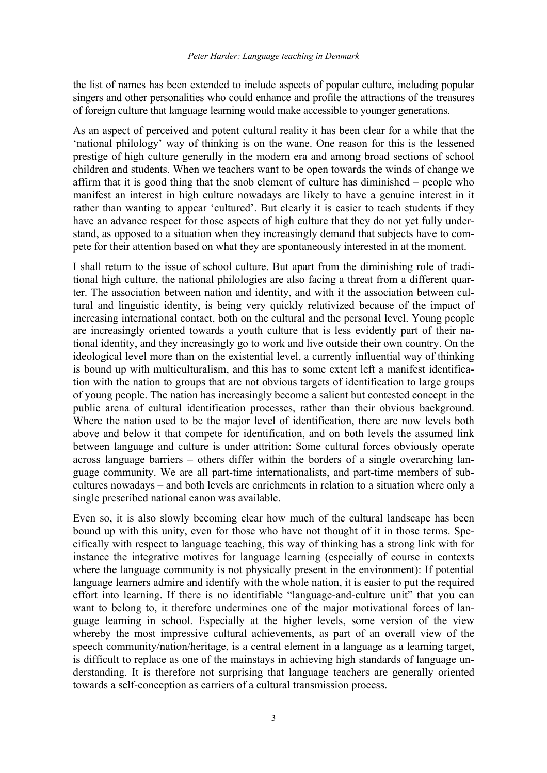the list of names has been extended to include aspects of popular culture, including popular singers and other personalities who could enhance and profile the attractions of the treasures of foreign culture that language learning would make accessible to younger generations.

As an aspect of perceived and potent cultural reality it has been clear for a while that the 'national philology' way of thinking is on the wane. One reason for this is the lessened prestige of high culture generally in the modern era and among broad sections of school children and students. When we teachers want to be open towards the winds of change we affirm that it is good thing that the snob element of culture has diminished – people who manifest an interest in high culture nowadays are likely to have a genuine interest in it rather than wanting to appear 'cultured'. But clearly it is easier to teach students if they have an advance respect for those aspects of high culture that they do not yet fully understand, as opposed to a situation when they increasingly demand that subjects have to compete for their attention based on what they are spontaneously interested in at the moment.

I shall return to the issue of school culture. But apart from the diminishing role of traditional high culture, the national philologies are also facing a threat from a different quarter. The association between nation and identity, and with it the association between cultural and linguistic identity, is being very quickly relativized because of the impact of increasing international contact, both on the cultural and the personal level. Young people are increasingly oriented towards a youth culture that is less evidently part of their national identity, and they increasingly go to work and live outside their own country. On the ideological level more than on the existential level, a currently influential way of thinking is bound up with multiculturalism, and this has to some extent left a manifest identification with the nation to groups that are not obvious targets of identification to large groups of young people. The nation has increasingly become a salient but contested concept in the public arena of cultural identification processes, rather than their obvious background. Where the nation used to be the major level of identification, there are now levels both above and below it that compete for identification, and on both levels the assumed link between language and culture is under attrition: Some cultural forces obviously operate across language barriers – others differ within the borders of a single overarching language community. We are all part-time internationalists, and part-time members of subcultures nowadays – and both levels are enrichments in relation to a situation where only a single prescribed national canon was available.

Even so, it is also slowly becoming clear how much of the cultural landscape has been bound up with this unity, even for those who have not thought of it in those terms. Specifically with respect to language teaching, this way of thinking has a strong link with for instance the integrative motives for language learning (especially of course in contexts where the language community is not physically present in the environment): If potential language learners admire and identify with the whole nation, it is easier to put the required effort into learning. If there is no identifiable "language-and-culture unit" that you can want to belong to, it therefore undermines one of the major motivational forces of language learning in school. Especially at the higher levels, some version of the view whereby the most impressive cultural achievements, as part of an overall view of the speech community/nation/heritage, is a central element in a language as a learning target, is difficult to replace as one of the mainstays in achieving high standards of language understanding. It is therefore not surprising that language teachers are generally oriented towards a self-conception as carriers of a cultural transmission process.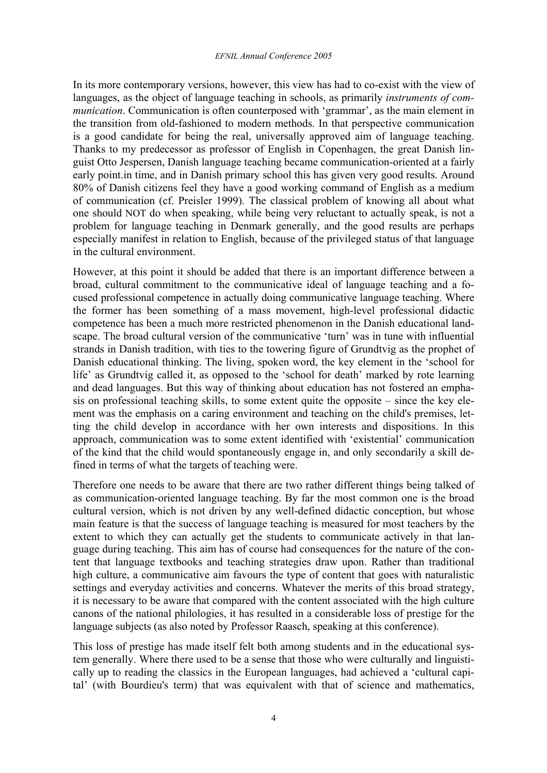#### *EFNIL Annual Conference 2005*

In its more contemporary versions, however, this view has had to co-exist with the view of languages, as the object of language teaching in schools, as primarily *instruments of communication*. Communication is often counterposed with 'grammar', as the main element in the transition from old-fashioned to modern methods. In that perspective communication is a good candidate for being the real, universally approved aim of language teaching. Thanks to my predecessor as professor of English in Copenhagen, the great Danish linguist Otto Jespersen, Danish language teaching became communication-oriented at a fairly early point.in time, and in Danish primary school this has given very good results. Around 80% of Danish citizens feel they have a good working command of English as a medium of communication (cf. Preisler 1999). The classical problem of knowing all about what one should NOT do when speaking, while being very reluctant to actually speak, is not a problem for language teaching in Denmark generally, and the good results are perhaps especially manifest in relation to English, because of the privileged status of that language in the cultural environment.

However, at this point it should be added that there is an important difference between a broad, cultural commitment to the communicative ideal of language teaching and a focused professional competence in actually doing communicative language teaching. Where the former has been something of a mass movement, high-level professional didactic competence has been a much more restricted phenomenon in the Danish educational landscape. The broad cultural version of the communicative 'turn' was in tune with influential strands in Danish tradition, with ties to the towering figure of Grundtvig as the prophet of Danish educational thinking. The living, spoken word, the key element in the 'school for life' as Grundtvig called it, as opposed to the 'school for death' marked by rote learning and dead languages. But this way of thinking about education has not fostered an emphasis on professional teaching skills, to some extent quite the opposite – since the key element was the emphasis on a caring environment and teaching on the child's premises, letting the child develop in accordance with her own interests and dispositions. In this approach, communication was to some extent identified with 'existential' communication of the kind that the child would spontaneously engage in, and only secondarily a skill defined in terms of what the targets of teaching were.

Therefore one needs to be aware that there are two rather different things being talked of as communication-oriented language teaching. By far the most common one is the broad cultural version, which is not driven by any well-defined didactic conception, but whose main feature is that the success of language teaching is measured for most teachers by the extent to which they can actually get the students to communicate actively in that language during teaching. This aim has of course had consequences for the nature of the content that language textbooks and teaching strategies draw upon. Rather than traditional high culture, a communicative aim favours the type of content that goes with naturalistic settings and everyday activities and concerns. Whatever the merits of this broad strategy, it is necessary to be aware that compared with the content associated with the high culture canons of the national philologies, it has resulted in a considerable loss of prestige for the language subjects (as also noted by Professor Raasch, speaking at this conference).

This loss of prestige has made itself felt both among students and in the educational system generally. Where there used to be a sense that those who were culturally and linguistically up to reading the classics in the European languages, had achieved a 'cultural capital' (with Bourdieu's term) that was equivalent with that of science and mathematics,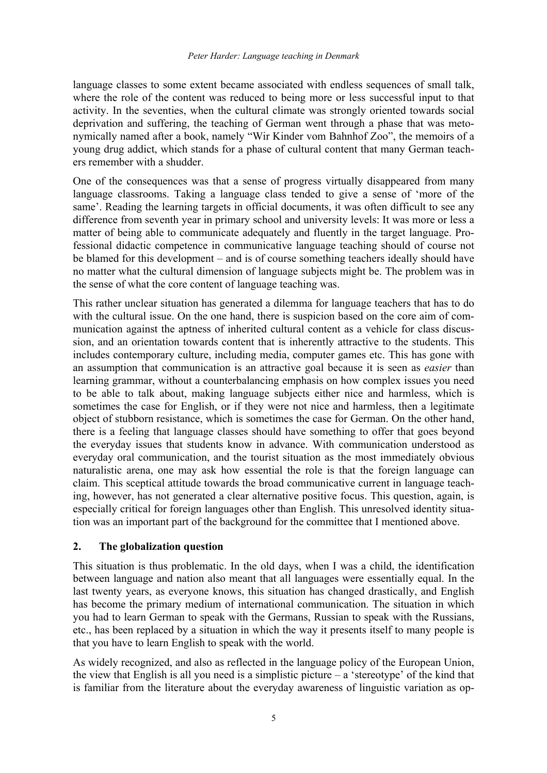language classes to some extent became associated with endless sequences of small talk, where the role of the content was reduced to being more or less successful input to that activity. In the seventies, when the cultural climate was strongly oriented towards social deprivation and suffering, the teaching of German went through a phase that was metonymically named after a book, namely "Wir Kinder vom Bahnhof Zoo", the memoirs of a young drug addict, which stands for a phase of cultural content that many German teachers remember with a shudder.

One of the consequences was that a sense of progress virtually disappeared from many language classrooms. Taking a language class tended to give a sense of 'more of the same'. Reading the learning targets in official documents, it was often difficult to see any difference from seventh year in primary school and university levels: It was more or less a matter of being able to communicate adequately and fluently in the target language. Professional didactic competence in communicative language teaching should of course not be blamed for this development – and is of course something teachers ideally should have no matter what the cultural dimension of language subjects might be. The problem was in the sense of what the core content of language teaching was.

This rather unclear situation has generated a dilemma for language teachers that has to do with the cultural issue. On the one hand, there is suspicion based on the core aim of communication against the aptness of inherited cultural content as a vehicle for class discussion, and an orientation towards content that is inherently attractive to the students. This includes contemporary culture, including media, computer games etc. This has gone with an assumption that communication is an attractive goal because it is seen as *easier* than learning grammar, without a counterbalancing emphasis on how complex issues you need to be able to talk about, making language subjects either nice and harmless, which is sometimes the case for English, or if they were not nice and harmless, then a legitimate object of stubborn resistance, which is sometimes the case for German. On the other hand, there is a feeling that language classes should have something to offer that goes beyond the everyday issues that students know in advance. With communication understood as everyday oral communication, and the tourist situation as the most immediately obvious naturalistic arena, one may ask how essential the role is that the foreign language can claim. This sceptical attitude towards the broad communicative current in language teaching, however, has not generated a clear alternative positive focus. This question, again, is especially critical for foreign languages other than English. This unresolved identity situation was an important part of the background for the committee that I mentioned above.

#### **2. The globalization question**

This situation is thus problematic. In the old days, when I was a child, the identification between language and nation also meant that all languages were essentially equal. In the last twenty years, as everyone knows, this situation has changed drastically, and English has become the primary medium of international communication. The situation in which you had to learn German to speak with the Germans, Russian to speak with the Russians, etc., has been replaced by a situation in which the way it presents itself to many people is that you have to learn English to speak with the world.

As widely recognized, and also as reflected in the language policy of the European Union, the view that English is all you need is a simplistic picture  $-$  a 'stereotype' of the kind that is familiar from the literature about the everyday awareness of linguistic variation as op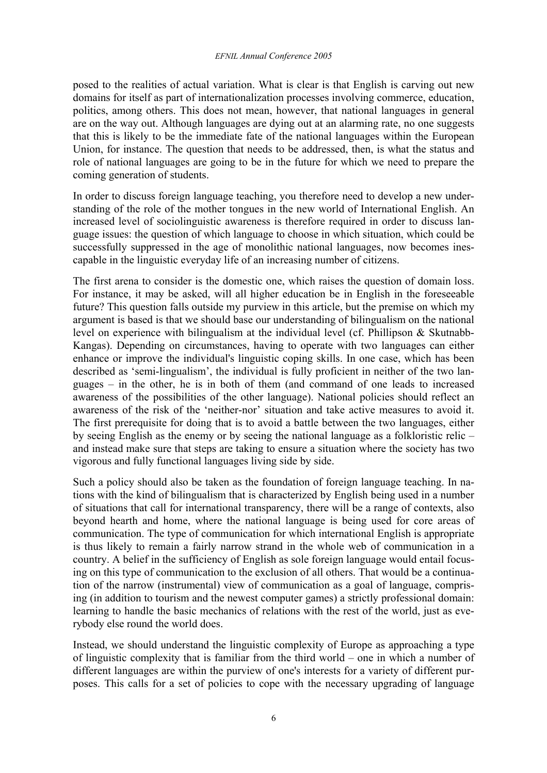posed to the realities of actual variation. What is clear is that English is carving out new domains for itself as part of internationalization processes involving commerce, education, politics, among others. This does not mean, however, that national languages in general are on the way out. Although languages are dying out at an alarming rate, no one suggests that this is likely to be the immediate fate of the national languages within the European Union, for instance. The question that needs to be addressed, then, is what the status and role of national languages are going to be in the future for which we need to prepare the coming generation of students.

In order to discuss foreign language teaching, you therefore need to develop a new understanding of the role of the mother tongues in the new world of International English. An increased level of sociolinguistic awareness is therefore required in order to discuss language issues: the question of which language to choose in which situation, which could be successfully suppressed in the age of monolithic national languages, now becomes inescapable in the linguistic everyday life of an increasing number of citizens.

The first arena to consider is the domestic one, which raises the question of domain loss. For instance, it may be asked, will all higher education be in English in the foreseeable future? This question falls outside my purview in this article, but the premise on which my argument is based is that we should base our understanding of bilingualism on the national level on experience with bilingualism at the individual level (cf. Phillipson & Skutnabb-Kangas). Depending on circumstances, having to operate with two languages can either enhance or improve the individual's linguistic coping skills. In one case, which has been described as 'semi-lingualism', the individual is fully proficient in neither of the two languages – in the other, he is in both of them (and command of one leads to increased awareness of the possibilities of the other language). National policies should reflect an awareness of the risk of the 'neither-nor' situation and take active measures to avoid it. The first prerequisite for doing that is to avoid a battle between the two languages, either by seeing English as the enemy or by seeing the national language as a folkloristic relic – and instead make sure that steps are taking to ensure a situation where the society has two vigorous and fully functional languages living side by side.

Such a policy should also be taken as the foundation of foreign language teaching. In nations with the kind of bilingualism that is characterized by English being used in a number of situations that call for international transparency, there will be a range of contexts, also beyond hearth and home, where the national language is being used for core areas of communication. The type of communication for which international English is appropriate is thus likely to remain a fairly narrow strand in the whole web of communication in a country. A belief in the sufficiency of English as sole foreign language would entail focusing on this type of communication to the exclusion of all others. That would be a continuation of the narrow (instrumental) view of communication as a goal of language, comprising (in addition to tourism and the newest computer games) a strictly professional domain: learning to handle the basic mechanics of relations with the rest of the world, just as everybody else round the world does.

Instead, we should understand the linguistic complexity of Europe as approaching a type of linguistic complexity that is familiar from the third world – one in which a number of different languages are within the purview of one's interests for a variety of different purposes. This calls for a set of policies to cope with the necessary upgrading of language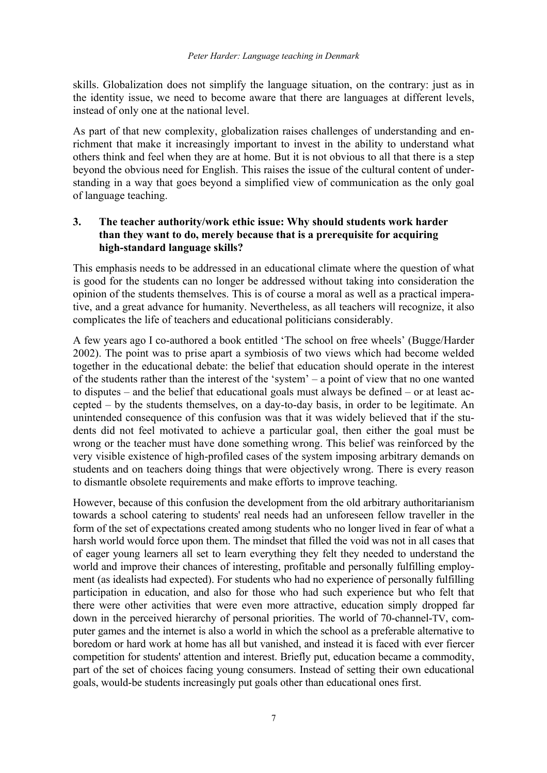skills. Globalization does not simplify the language situation, on the contrary: just as in the identity issue, we need to become aware that there are languages at different levels, instead of only one at the national level.

As part of that new complexity, globalization raises challenges of understanding and enrichment that make it increasingly important to invest in the ability to understand what others think and feel when they are at home. But it is not obvious to all that there is a step beyond the obvious need for English. This raises the issue of the cultural content of understanding in a way that goes beyond a simplified view of communication as the only goal of language teaching.

# **3. The teacher authority/work ethic issue: Why should students work harder than they want to do, merely because that is a prerequisite for acquiring high-standard language skills?**

This emphasis needs to be addressed in an educational climate where the question of what is good for the students can no longer be addressed without taking into consideration the opinion of the students themselves. This is of course a moral as well as a practical imperative, and a great advance for humanity. Nevertheless, as all teachers will recognize, it also complicates the life of teachers and educational politicians considerably.

A few years ago I co-authored a book entitled 'The school on free wheels' (Bugge/Harder 2002). The point was to prise apart a symbiosis of two views which had become welded together in the educational debate: the belief that education should operate in the interest of the students rather than the interest of the 'system' – a point of view that no one wanted to disputes – and the belief that educational goals must always be defined – or at least accepted – by the students themselves, on a day-to-day basis, in order to be legitimate. An unintended consequence of this confusion was that it was widely believed that if the students did not feel motivated to achieve a particular goal, then either the goal must be wrong or the teacher must have done something wrong. This belief was reinforced by the very visible existence of high-profiled cases of the system imposing arbitrary demands on students and on teachers doing things that were objectively wrong. There is every reason to dismantle obsolete requirements and make efforts to improve teaching.

However, because of this confusion the development from the old arbitrary authoritarianism towards a school catering to students' real needs had an unforeseen fellow traveller in the form of the set of expectations created among students who no longer lived in fear of what a harsh world would force upon them. The mindset that filled the void was not in all cases that of eager young learners all set to learn everything they felt they needed to understand the world and improve their chances of interesting, profitable and personally fulfilling employment (as idealists had expected). For students who had no experience of personally fulfilling participation in education, and also for those who had such experience but who felt that there were other activities that were even more attractive, education simply dropped far down in the perceived hierarchy of personal priorities. The world of 70-channel-TV, computer games and the internet is also a world in which the school as a preferable alternative to boredom or hard work at home has all but vanished, and instead it is faced with ever fiercer competition for students' attention and interest. Briefly put, education became a commodity, part of the set of choices facing young consumers. Instead of setting their own educational goals, would-be students increasingly put goals other than educational ones first.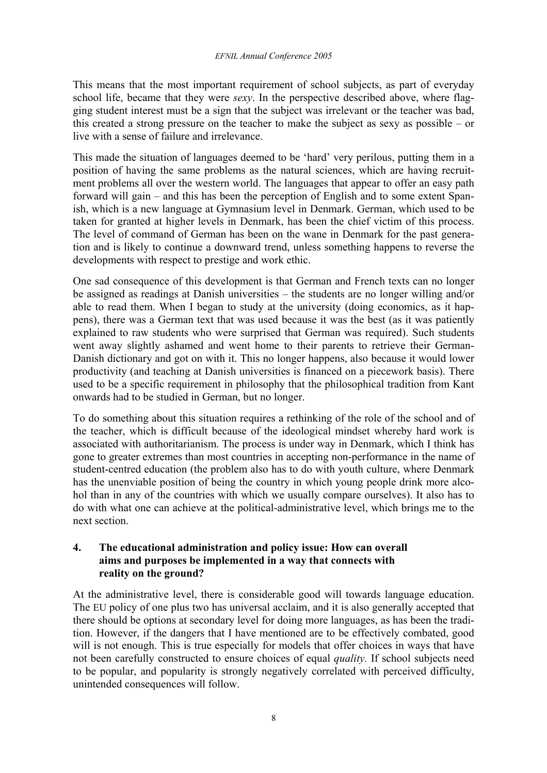This means that the most important requirement of school subjects, as part of everyday school life, became that they were *sexy*. In the perspective described above, where flagging student interest must be a sign that the subject was irrelevant or the teacher was bad, this created a strong pressure on the teacher to make the subject as sexy as possible – or live with a sense of failure and irrelevance.

This made the situation of languages deemed to be 'hard' very perilous, putting them in a position of having the same problems as the natural sciences, which are having recruitment problems all over the western world. The languages that appear to offer an easy path forward will gain – and this has been the perception of English and to some extent Spanish, which is a new language at Gymnasium level in Denmark. German, which used to be taken for granted at higher levels in Denmark, has been the chief victim of this process. The level of command of German has been on the wane in Denmark for the past generation and is likely to continue a downward trend, unless something happens to reverse the developments with respect to prestige and work ethic.

One sad consequence of this development is that German and French texts can no longer be assigned as readings at Danish universities – the students are no longer willing and/or able to read them. When I began to study at the university (doing economics, as it happens), there was a German text that was used because it was the best (as it was patiently explained to raw students who were surprised that German was required). Such students went away slightly ashamed and went home to their parents to retrieve their German-Danish dictionary and got on with it. This no longer happens, also because it would lower productivity (and teaching at Danish universities is financed on a piecework basis). There used to be a specific requirement in philosophy that the philosophical tradition from Kant onwards had to be studied in German, but no longer.

To do something about this situation requires a rethinking of the role of the school and of the teacher, which is difficult because of the ideological mindset whereby hard work is associated with authoritarianism. The process is under way in Denmark, which I think has gone to greater extremes than most countries in accepting non-performance in the name of student-centred education (the problem also has to do with youth culture, where Denmark has the unenviable position of being the country in which young people drink more alcohol than in any of the countries with which we usually compare ourselves). It also has to do with what one can achieve at the political-administrative level, which brings me to the next section.

## **4. The educational administration and policy issue: How can overall aims and purposes be implemented in a way that connects with reality on the ground?**

At the administrative level, there is considerable good will towards language education. The EU policy of one plus two has universal acclaim, and it is also generally accepted that there should be options at secondary level for doing more languages, as has been the tradition. However, if the dangers that I have mentioned are to be effectively combated, good will is not enough. This is true especially for models that offer choices in ways that have not been carefully constructed to ensure choices of equal *quality.* If school subjects need to be popular, and popularity is strongly negatively correlated with perceived difficulty, unintended consequences will follow.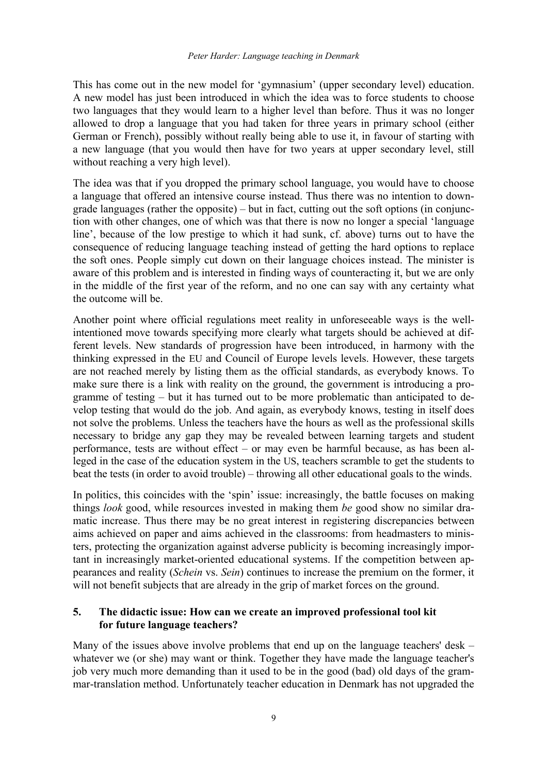This has come out in the new model for 'gymnasium' (upper secondary level) education. A new model has just been introduced in which the idea was to force students to choose two languages that they would learn to a higher level than before. Thus it was no longer allowed to drop a language that you had taken for three years in primary school (either German or French), possibly without really being able to use it, in favour of starting with a new language (that you would then have for two years at upper secondary level, still without reaching a very high level).

The idea was that if you dropped the primary school language, you would have to choose a language that offered an intensive course instead. Thus there was no intention to downgrade languages (rather the opposite) – but in fact, cutting out the soft options (in conjunction with other changes, one of which was that there is now no longer a special 'language line', because of the low prestige to which it had sunk, cf. above) turns out to have the consequence of reducing language teaching instead of getting the hard options to replace the soft ones. People simply cut down on their language choices instead. The minister is aware of this problem and is interested in finding ways of counteracting it, but we are only in the middle of the first year of the reform, and no one can say with any certainty what the outcome will be.

Another point where official regulations meet reality in unforeseeable ways is the wellintentioned move towards specifying more clearly what targets should be achieved at different levels. New standards of progression have been introduced, in harmony with the thinking expressed in the EU and Council of Europe levels levels. However, these targets are not reached merely by listing them as the official standards, as everybody knows. To make sure there is a link with reality on the ground, the government is introducing a programme of testing – but it has turned out to be more problematic than anticipated to develop testing that would do the job. And again, as everybody knows, testing in itself does not solve the problems. Unless the teachers have the hours as well as the professional skills necessary to bridge any gap they may be revealed between learning targets and student performance, tests are without effect – or may even be harmful because, as has been alleged in the case of the education system in the US, teachers scramble to get the students to beat the tests (in order to avoid trouble) – throwing all other educational goals to the winds.

In politics, this coincides with the 'spin' issue: increasingly, the battle focuses on making things *look* good, while resources invested in making them *be* good show no similar dramatic increase. Thus there may be no great interest in registering discrepancies between aims achieved on paper and aims achieved in the classrooms: from headmasters to ministers, protecting the organization against adverse publicity is becoming increasingly important in increasingly market-oriented educational systems. If the competition between appearances and reality (*Schein* vs. *Sein*) continues to increase the premium on the former, it will not benefit subjects that are already in the grip of market forces on the ground.

#### **5. The didactic issue: How can we create an improved professional tool kit for future language teachers?**

Many of the issues above involve problems that end up on the language teachers' desk – whatever we (or she) may want or think. Together they have made the language teacher's job very much more demanding than it used to be in the good (bad) old days of the grammar-translation method. Unfortunately teacher education in Denmark has not upgraded the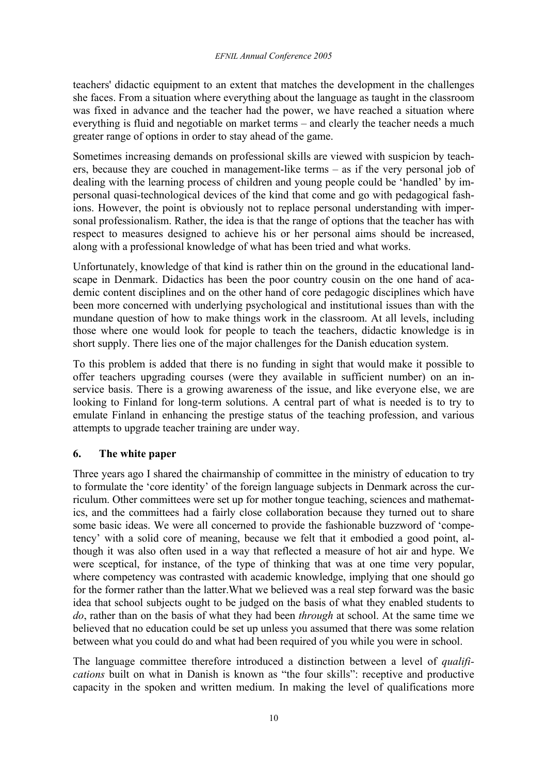teachers' didactic equipment to an extent that matches the development in the challenges she faces. From a situation where everything about the language as taught in the classroom was fixed in advance and the teacher had the power, we have reached a situation where everything is fluid and negotiable on market terms – and clearly the teacher needs a much greater range of options in order to stay ahead of the game.

Sometimes increasing demands on professional skills are viewed with suspicion by teachers, because they are couched in management-like terms – as if the very personal job of dealing with the learning process of children and young people could be 'handled' by impersonal quasi-technological devices of the kind that come and go with pedagogical fashions. However, the point is obviously not to replace personal understanding with impersonal professionalism. Rather, the idea is that the range of options that the teacher has with respect to measures designed to achieve his or her personal aims should be increased, along with a professional knowledge of what has been tried and what works.

Unfortunately, knowledge of that kind is rather thin on the ground in the educational landscape in Denmark. Didactics has been the poor country cousin on the one hand of academic content disciplines and on the other hand of core pedagogic disciplines which have been more concerned with underlying psychological and institutional issues than with the mundane question of how to make things work in the classroom. At all levels, including those where one would look for people to teach the teachers, didactic knowledge is in short supply. There lies one of the major challenges for the Danish education system.

To this problem is added that there is no funding in sight that would make it possible to offer teachers upgrading courses (were they available in sufficient number) on an inservice basis. There is a growing awareness of the issue, and like everyone else, we are looking to Finland for long-term solutions. A central part of what is needed is to try to emulate Finland in enhancing the prestige status of the teaching profession, and various attempts to upgrade teacher training are under way.

# **6. The white paper**

Three years ago I shared the chairmanship of committee in the ministry of education to try to formulate the 'core identity' of the foreign language subjects in Denmark across the curriculum. Other committees were set up for mother tongue teaching, sciences and mathematics, and the committees had a fairly close collaboration because they turned out to share some basic ideas. We were all concerned to provide the fashionable buzzword of 'competency' with a solid core of meaning, because we felt that it embodied a good point, although it was also often used in a way that reflected a measure of hot air and hype. We were sceptical, for instance, of the type of thinking that was at one time very popular, where competency was contrasted with academic knowledge, implying that one should go for the former rather than the latter.What we believed was a real step forward was the basic idea that school subjects ought to be judged on the basis of what they enabled students to *do*, rather than on the basis of what they had been *through* at school. At the same time we believed that no education could be set up unless you assumed that there was some relation between what you could do and what had been required of you while you were in school.

The language committee therefore introduced a distinction between a level of *qualifications* built on what in Danish is known as "the four skills": receptive and productive capacity in the spoken and written medium. In making the level of qualifications more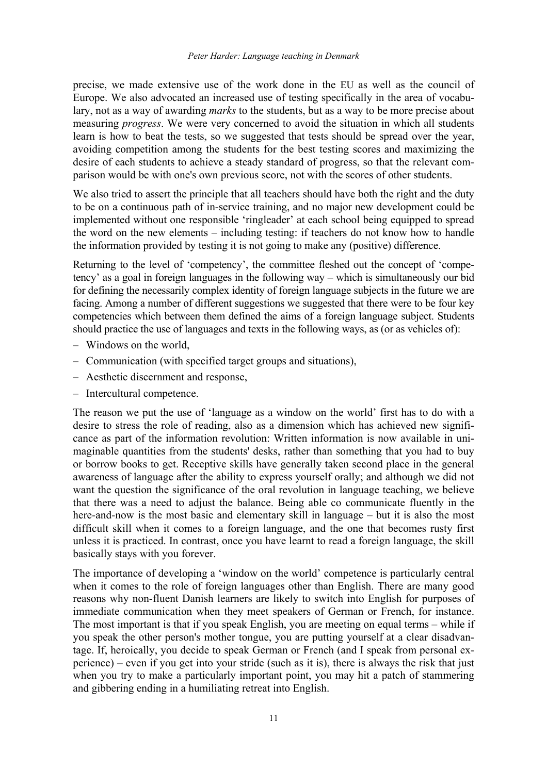precise, we made extensive use of the work done in the EU as well as the council of Europe. We also advocated an increased use of testing specifically in the area of vocabulary, not as a way of awarding *marks* to the students, but as a way to be more precise about measuring *progress*. We were very concerned to avoid the situation in which all students learn is how to beat the tests, so we suggested that tests should be spread over the year, avoiding competition among the students for the best testing scores and maximizing the desire of each students to achieve a steady standard of progress, so that the relevant comparison would be with one's own previous score, not with the scores of other students.

We also tried to assert the principle that all teachers should have both the right and the duty to be on a continuous path of in-service training, and no major new development could be implemented without one responsible 'ringleader' at each school being equipped to spread the word on the new elements – including testing: if teachers do not know how to handle the information provided by testing it is not going to make any (positive) difference.

Returning to the level of 'competency', the committee fleshed out the concept of 'competency' as a goal in foreign languages in the following way – which is simultaneously our bid for defining the necessarily complex identity of foreign language subjects in the future we are facing. Among a number of different suggestions we suggested that there were to be four key competencies which between them defined the aims of a foreign language subject. Students should practice the use of languages and texts in the following ways, as (or as vehicles of):

- Windows on the world,
- Communication (with specified target groups and situations),
- Aesthetic discernment and response,
- Intercultural competence.

The reason we put the use of 'language as a window on the world' first has to do with a desire to stress the role of reading, also as a dimension which has achieved new significance as part of the information revolution: Written information is now available in unimaginable quantities from the students' desks, rather than something that you had to buy or borrow books to get. Receptive skills have generally taken second place in the general awareness of language after the ability to express yourself orally; and although we did not want the question the significance of the oral revolution in language teaching, we believe that there was a need to adjust the balance. Being able co communicate fluently in the here-and-now is the most basic and elementary skill in language – but it is also the most difficult skill when it comes to a foreign language, and the one that becomes rusty first unless it is practiced. In contrast, once you have learnt to read a foreign language, the skill basically stays with you forever.

The importance of developing a 'window on the world' competence is particularly central when it comes to the role of foreign languages other than English. There are many good reasons why non-fluent Danish learners are likely to switch into English for purposes of immediate communication when they meet speakers of German or French, for instance. The most important is that if you speak English, you are meeting on equal terms – while if you speak the other person's mother tongue, you are putting yourself at a clear disadvantage. If, heroically, you decide to speak German or French (and I speak from personal experience) – even if you get into your stride (such as it is), there is always the risk that just when you try to make a particularly important point, you may hit a patch of stammering and gibbering ending in a humiliating retreat into English.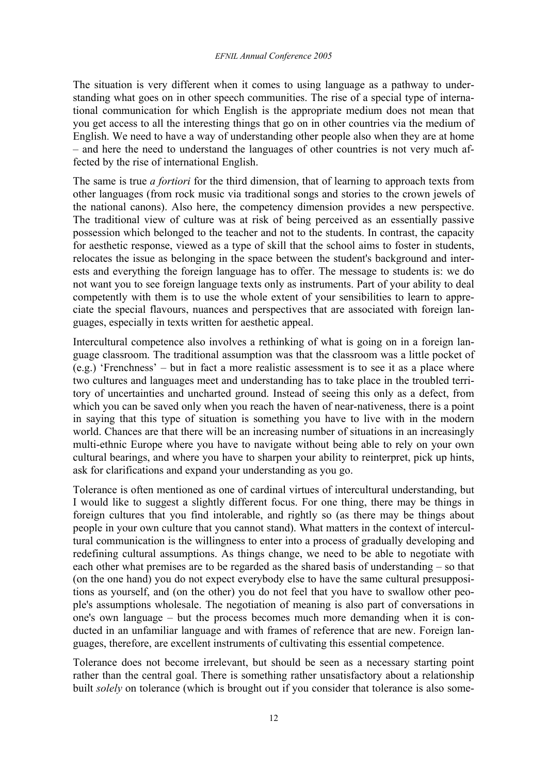The situation is very different when it comes to using language as a pathway to understanding what goes on in other speech communities. The rise of a special type of international communication for which English is the appropriate medium does not mean that you get access to all the interesting things that go on in other countries via the medium of English. We need to have a way of understanding other people also when they are at home – and here the need to understand the languages of other countries is not very much affected by the rise of international English.

The same is true *a fortiori* for the third dimension, that of learning to approach texts from other languages (from rock music via traditional songs and stories to the crown jewels of the national canons). Also here, the competency dimension provides a new perspective. The traditional view of culture was at risk of being perceived as an essentially passive possession which belonged to the teacher and not to the students. In contrast, the capacity for aesthetic response, viewed as a type of skill that the school aims to foster in students, relocates the issue as belonging in the space between the student's background and interests and everything the foreign language has to offer. The message to students is: we do not want you to see foreign language texts only as instruments. Part of your ability to deal competently with them is to use the whole extent of your sensibilities to learn to appreciate the special flavours, nuances and perspectives that are associated with foreign languages, especially in texts written for aesthetic appeal.

Intercultural competence also involves a rethinking of what is going on in a foreign language classroom. The traditional assumption was that the classroom was a little pocket of (e.g.) 'Frenchness' – but in fact a more realistic assessment is to see it as a place where two cultures and languages meet and understanding has to take place in the troubled territory of uncertainties and uncharted ground. Instead of seeing this only as a defect, from which you can be saved only when you reach the haven of near-nativeness, there is a point in saying that this type of situation is something you have to live with in the modern world. Chances are that there will be an increasing number of situations in an increasingly multi-ethnic Europe where you have to navigate without being able to rely on your own cultural bearings, and where you have to sharpen your ability to reinterpret, pick up hints, ask for clarifications and expand your understanding as you go.

Tolerance is often mentioned as one of cardinal virtues of intercultural understanding, but I would like to suggest a slightly different focus. For one thing, there may be things in foreign cultures that you find intolerable, and rightly so (as there may be things about people in your own culture that you cannot stand). What matters in the context of intercultural communication is the willingness to enter into a process of gradually developing and redefining cultural assumptions. As things change, we need to be able to negotiate with each other what premises are to be regarded as the shared basis of understanding – so that (on the one hand) you do not expect everybody else to have the same cultural presuppositions as yourself, and (on the other) you do not feel that you have to swallow other people's assumptions wholesale. The negotiation of meaning is also part of conversations in one's own language – but the process becomes much more demanding when it is conducted in an unfamiliar language and with frames of reference that are new. Foreign languages, therefore, are excellent instruments of cultivating this essential competence.

Tolerance does not become irrelevant, but should be seen as a necessary starting point rather than the central goal. There is something rather unsatisfactory about a relationship built *solely* on tolerance (which is brought out if you consider that tolerance is also some